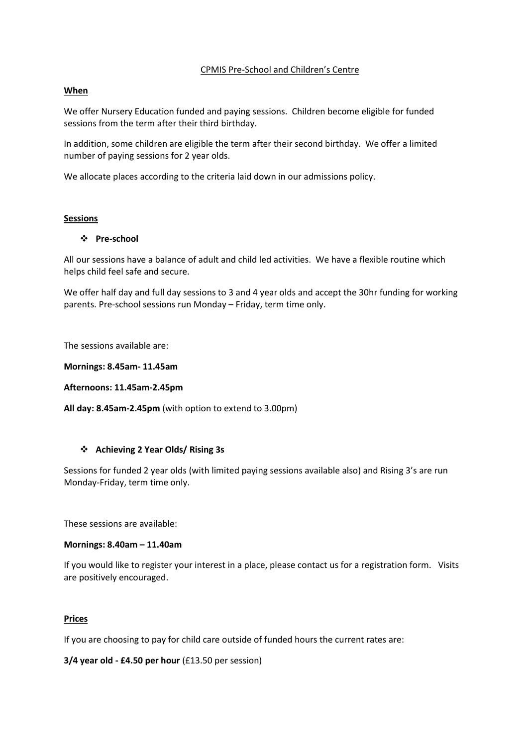## CPMIS Pre-School and Children's Centre

## **When**

We offer Nursery Education funded and paying sessions. Children become eligible for funded sessions from the term after their third birthday.

In addition, some children are eligible the term after their second birthday. We offer a limited number of paying sessions for 2 year olds.

We allocate places according to the criteria laid down in our admissions policy.

### **Sessions**

# **Pre-school**

All our sessions have a balance of adult and child led activities. We have a flexible routine which helps child feel safe and secure.

We offer half day and full day sessions to 3 and 4 year olds and accept the 30hr funding for working parents. Pre-school sessions run Monday – Friday, term time only.

The sessions available are:

**Mornings: 8.45am- 11.45am**

**Afternoons: 11.45am-2.45pm**

**All day: 8.45am-2.45pm** (with option to extend to 3.00pm)

# **Achieving 2 Year Olds/ Rising 3s**

Sessions for funded 2 year olds (with limited paying sessions available also) and Rising 3's are run Monday-Friday, term time only.

These sessions are available:

### **Mornings: 8.40am – 11.40am**

If you would like to register your interest in a place, please contact us for a registration form. Visits are positively encouraged.

### **Prices**

If you are choosing to pay for child care outside of funded hours the current rates are:

**3/4 year old - £4.50 per hour** (£13.50 per session)